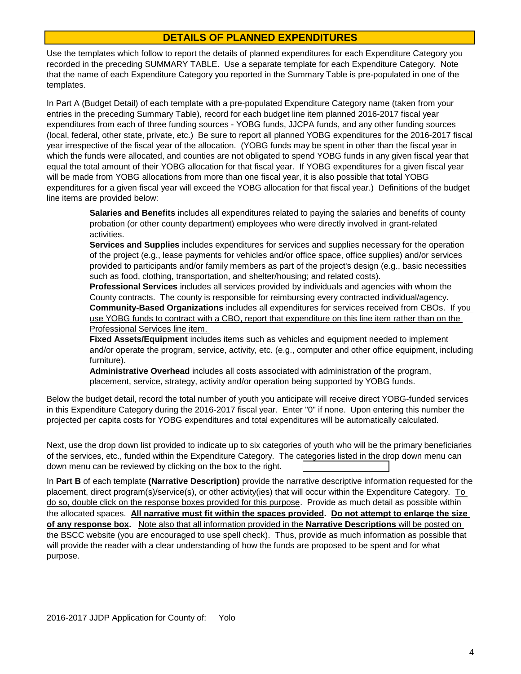## **DETAILS OF PLANNED EXPENDITURES**

Use the templates which follow to report the details of planned expenditures for each Expenditure Category you recorded in the preceding SUMMARY TABLE. Use a separate template for each Expenditure Category. Note that the name of each Expenditure Category you reported in the Summary Table is pre-populated in one of the templates.

In Part A (Budget Detail) of each template with a pre-populated Expenditure Category name (taken from your entries in the preceding Summary Table), record for each budget line item planned 2016-2017 fiscal year expenditures from each of three funding sources - YOBG funds, JJCPA funds, and any other funding sources (local, federal, other state, private, etc.) Be sure to report all planned YOBG expenditures for the 2016-2017 fiscal year irrespective of the fiscal year of the allocation. (YOBG funds may be spent in other than the fiscal year in which the funds were allocated, and counties are not obligated to spend YOBG funds in any given fiscal year that equal the total amount of their YOBG allocation for that fiscal year. If YOBG expenditures for a given fiscal year will be made from YOBG allocations from more than one fiscal year, it is also possible that total YOBG expenditures for a given fiscal year will exceed the YOBG allocation for that fiscal year.) Definitions of the budget line items are provided below:

**Salaries and Benefits** includes all expenditures related to paying the salaries and benefits of county probation (or other county department) employees who were directly involved in grant-related activities.

**Services and Supplies** includes expenditures for services and supplies necessary for the operation of the project (e.g., lease payments for vehicles and/or office space, office supplies) and/or services provided to participants and/or family members as part of the project's design (e.g., basic necessities such as food, clothing, transportation, and shelter/housing; and related costs).

**Professional Services** includes all services provided by individuals and agencies with whom the County contracts. The county is responsible for reimbursing every contracted individual/agency. **Community-Based Organizations** includes all expenditures for services received from CBOs. If you use YOBG funds to contract with a CBO, report that expenditure on this line item rather than on the Professional Services line item.

**Fixed Assets/Equipment** includes items such as vehicles and equipment needed to implement and/or operate the program, service, activity, etc. (e.g., computer and other office equipment, including furniture).

**Administrative Overhead** includes all costs associated with administration of the program, placement, service, strategy, activity and/or operation being supported by YOBG funds.

Below the budget detail, record the total number of youth you anticipate will receive direct YOBG-funded services in this Expenditure Category during the 2016-2017 fiscal year. Enter "0" if none. Upon entering this number the projected per capita costs for YOBG expenditures and total expenditures will be automatically calculated.

down menu can be reviewed by clicking on the box to the right. Next, use the drop down list provided to indicate up to six categories of youth who will be the primary beneficiaries of the services, etc., funded within the Expenditure Category. The categories listed in the drop down menu can

In **Part B** of each template **(Narrative Description)** provide the narrative descriptive information requested for the placement, direct program(s)/service(s), or other activity(ies) that will occur within the Expenditure Category. To do so, double click on the response boxes provided for this purpose. Provide as much detail as possible within the allocated spaces. **All narrative must fit within the spaces provided. Do not attempt to enlarge the size of any response box.** Note also that all information provided in the **Narrative Descriptions** will be posted on the BSCC website (you are encouraged to use spell check). Thus, provide as much information as possible that will provide the reader with a clear understanding of how the funds are proposed to be spent and for what purpose.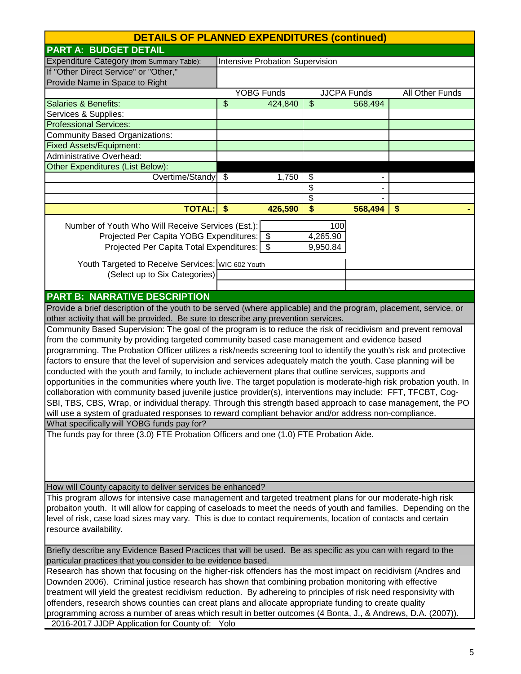|                                                                                                                     | <b>DETAILS OF PLANNED EXPENDITURES (continued)</b> |                                        |          |                    |                 |
|---------------------------------------------------------------------------------------------------------------------|----------------------------------------------------|----------------------------------------|----------|--------------------|-----------------|
| <b>PART A: BUDGET DETAIL</b>                                                                                        |                                                    |                                        |          |                    |                 |
| Expenditure Category (from Summary Table):                                                                          |                                                    | <b>Intensive Probation Supervision</b> |          |                    |                 |
| If "Other Direct Service" or "Other,"                                                                               |                                                    |                                        |          |                    |                 |
| Provide Name in Space to Right                                                                                      |                                                    |                                        |          |                    |                 |
|                                                                                                                     |                                                    | <b>YOBG Funds</b>                      |          | <b>JJCPA Funds</b> | All Other Funds |
| <b>Salaries &amp; Benefits:</b>                                                                                     | \$                                                 | 424,840                                | \$       | 568,494            |                 |
| Services & Supplies:                                                                                                |                                                    |                                        |          |                    |                 |
| <b>Professional Services:</b>                                                                                       |                                                    |                                        |          |                    |                 |
| <b>Community Based Organizations:</b>                                                                               |                                                    |                                        |          |                    |                 |
| <b>Fixed Assets/Equipment:</b>                                                                                      |                                                    |                                        |          |                    |                 |
| <b>Administrative Overhead:</b>                                                                                     |                                                    |                                        |          |                    |                 |
| <b>Other Expenditures (List Below):</b>                                                                             |                                                    |                                        |          |                    |                 |
| Overtime/Standy                                                                                                     | $\boldsymbol{\mathcal{F}}$                         | 1,750                                  | \$       |                    |                 |
|                                                                                                                     |                                                    |                                        | \$       |                    |                 |
|                                                                                                                     |                                                    |                                        | \$       |                    |                 |
| <b>TOTAL:</b>                                                                                                       | $\boldsymbol{\$}$                                  | 426,590                                | \$       | 568,494            | \$              |
|                                                                                                                     |                                                    |                                        |          |                    |                 |
| Number of Youth Who Will Receive Services (Est.):                                                                   |                                                    |                                        | 100      |                    |                 |
| Projected Per Capita YOBG Expenditures: \$                                                                          |                                                    |                                        | 4,265.90 |                    |                 |
| Projected Per Capita Total Expenditures: \$                                                                         |                                                    |                                        | 9,950.84 |                    |                 |
| Youth Targeted to Receive Services: WIC 602 Youth                                                                   |                                                    |                                        |          |                    |                 |
| (Select up to Six Categories)                                                                                       |                                                    |                                        |          |                    |                 |
|                                                                                                                     |                                                    |                                        |          |                    |                 |
| <b>PART B: NARRATIVE DESCRIPTION</b>                                                                                |                                                    |                                        |          |                    |                 |
| Provide a brief description of the youth to be served (where applicable) and the program, placement, service, or    |                                                    |                                        |          |                    |                 |
| other activity that will be provided. Be sure to describe any prevention services.                                  |                                                    |                                        |          |                    |                 |
| Community Based Supervision: The goal of the program is to reduce the risk of recidivism and prevent removal        |                                                    |                                        |          |                    |                 |
| from the community by providing targeted community based case management and evidence based                         |                                                    |                                        |          |                    |                 |
| programming. The Probation Officer utilizes a risk/needs screening tool to identify the youth's risk and protective |                                                    |                                        |          |                    |                 |
| factors to ensure that the level of supervision and services adequately match the youth. Case planning will be      |                                                    |                                        |          |                    |                 |
| conducted with the youth and family, to include achievement plans that outline services, supports and               |                                                    |                                        |          |                    |                 |
| opportunities in the communities where youth live. The target population is moderate-high risk probation youth. In  |                                                    |                                        |          |                    |                 |
| collaboration with community based juvenile justice provider(s), interventions may include: FFT, TFCBT, Cog-        |                                                    |                                        |          |                    |                 |
| SBI, TBS, CBS, Wrap, or individual therapy. Through this strength based approach to case management, the PO         |                                                    |                                        |          |                    |                 |
| will use a system of graduated responses to reward compliant behavior and/or address non-compliance.                |                                                    |                                        |          |                    |                 |
| What specifically will YOBG funds pay for?                                                                          |                                                    |                                        |          |                    |                 |
| The funds pay for three (3.0) FTE Probation Officers and one (1.0) FTE Probation Aide.                              |                                                    |                                        |          |                    |                 |
|                                                                                                                     |                                                    |                                        |          |                    |                 |
|                                                                                                                     |                                                    |                                        |          |                    |                 |
|                                                                                                                     |                                                    |                                        |          |                    |                 |
|                                                                                                                     |                                                    |                                        |          |                    |                 |
| How will County capacity to deliver services be enhanced?                                                           |                                                    |                                        |          |                    |                 |
| This program allows for intensive case management and targeted treatment plans for our moderate-high risk           |                                                    |                                        |          |                    |                 |
| probaiton youth. It will allow for capping of caseloads to meet the needs of youth and families. Depending on the   |                                                    |                                        |          |                    |                 |
| level of risk, case load sizes may vary. This is due to contact requirements, location of contacts and certain      |                                                    |                                        |          |                    |                 |
| resource availability.                                                                                              |                                                    |                                        |          |                    |                 |
|                                                                                                                     |                                                    |                                        |          |                    |                 |
| Briefly describe any Evidence Based Practices that will be used. Be as specific as you can with regard to the       |                                                    |                                        |          |                    |                 |
| particular practices that you consider to be evidence based.                                                        |                                                    |                                        |          |                    |                 |
| Research has shown that focusing on the higher-risk offenders has the most impact on recidivism (Andres and         |                                                    |                                        |          |                    |                 |
| Downden 2006). Criminal justice research has shown that combining probation monitoring with effective               |                                                    |                                        |          |                    |                 |
| treatment will yield the greatest recidivism reduction. By adhereing to principles of risk need responsivity with   |                                                    |                                        |          |                    |                 |
| offenders, research shows counties can creat plans and allocate appropriate funding to create quality               |                                                    |                                        |          |                    |                 |
| programming across a number of areas which result in better outcomes (4 Bonta, J., & Andrews, D.A. (2007)).         |                                                    |                                        |          |                    |                 |
| 2016-2017 JJDP Application for County of: Yolo                                                                      |                                                    |                                        |          |                    |                 |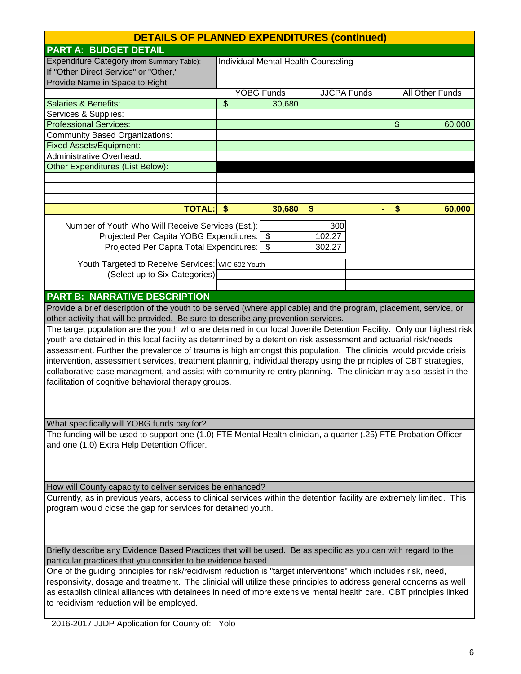| <b>DETAILS OF PLANNED EXPENDITURES (continued)</b>                                                                                                                                                                                                                                                                                                                                                                                                                                                                                                                                                                                                          |      |                                     |        |                    |                |                 |
|-------------------------------------------------------------------------------------------------------------------------------------------------------------------------------------------------------------------------------------------------------------------------------------------------------------------------------------------------------------------------------------------------------------------------------------------------------------------------------------------------------------------------------------------------------------------------------------------------------------------------------------------------------------|------|-------------------------------------|--------|--------------------|----------------|-----------------|
| <b>PART A: BUDGET DETAIL</b>                                                                                                                                                                                                                                                                                                                                                                                                                                                                                                                                                                                                                                |      |                                     |        |                    |                |                 |
| Expenditure Category (from Summary Table):                                                                                                                                                                                                                                                                                                                                                                                                                                                                                                                                                                                                                  |      | Individual Mental Health Counseling |        |                    |                |                 |
| If "Other Direct Service" or "Other,"                                                                                                                                                                                                                                                                                                                                                                                                                                                                                                                                                                                                                       |      |                                     |        |                    |                |                 |
| Provide Name in Space to Right                                                                                                                                                                                                                                                                                                                                                                                                                                                                                                                                                                                                                              |      |                                     |        |                    |                |                 |
|                                                                                                                                                                                                                                                                                                                                                                                                                                                                                                                                                                                                                                                             |      | <b>YOBG Funds</b>                   |        | <b>JJCPA Funds</b> |                | All Other Funds |
| <b>Salaries &amp; Benefits:</b>                                                                                                                                                                                                                                                                                                                                                                                                                                                                                                                                                                                                                             | \$   | 30,680                              |        |                    |                |                 |
| Services & Supplies:                                                                                                                                                                                                                                                                                                                                                                                                                                                                                                                                                                                                                                        |      |                                     |        |                    |                |                 |
| <b>Professional Services:</b>                                                                                                                                                                                                                                                                                                                                                                                                                                                                                                                                                                                                                               |      |                                     |        |                    | $\mathfrak{S}$ | 60,000          |
| <b>Community Based Organizations:</b>                                                                                                                                                                                                                                                                                                                                                                                                                                                                                                                                                                                                                       |      |                                     |        |                    |                |                 |
| <b>Fixed Assets/Equipment:</b>                                                                                                                                                                                                                                                                                                                                                                                                                                                                                                                                                                                                                              |      |                                     |        |                    |                |                 |
| <b>Administrative Overhead:</b>                                                                                                                                                                                                                                                                                                                                                                                                                                                                                                                                                                                                                             |      |                                     |        |                    |                |                 |
| Other Expenditures (List Below):                                                                                                                                                                                                                                                                                                                                                                                                                                                                                                                                                                                                                            |      |                                     |        |                    |                |                 |
|                                                                                                                                                                                                                                                                                                                                                                                                                                                                                                                                                                                                                                                             |      |                                     |        |                    |                |                 |
|                                                                                                                                                                                                                                                                                                                                                                                                                                                                                                                                                                                                                                                             |      |                                     |        |                    |                |                 |
| <b>TOTAL:</b>                                                                                                                                                                                                                                                                                                                                                                                                                                                                                                                                                                                                                                               | - \$ | 30,680                              | \$     |                    | \$             | 60,000          |
|                                                                                                                                                                                                                                                                                                                                                                                                                                                                                                                                                                                                                                                             |      |                                     |        |                    |                |                 |
| Number of Youth Who Will Receive Services (Est.):                                                                                                                                                                                                                                                                                                                                                                                                                                                                                                                                                                                                           |      |                                     | 300    |                    |                |                 |
| Projected Per Capita YOBG Expenditures: \$<br>Projected Per Capita Total Expenditures: \$                                                                                                                                                                                                                                                                                                                                                                                                                                                                                                                                                                   |      |                                     | 102.27 |                    |                |                 |
|                                                                                                                                                                                                                                                                                                                                                                                                                                                                                                                                                                                                                                                             |      |                                     | 302.27 |                    |                |                 |
| Youth Targeted to Receive Services: WIC 602 Youth                                                                                                                                                                                                                                                                                                                                                                                                                                                                                                                                                                                                           |      |                                     |        |                    |                |                 |
| (Select up to Six Categories)                                                                                                                                                                                                                                                                                                                                                                                                                                                                                                                                                                                                                               |      |                                     |        |                    |                |                 |
|                                                                                                                                                                                                                                                                                                                                                                                                                                                                                                                                                                                                                                                             |      |                                     |        |                    |                |                 |
| <b>PART B: NARRATIVE DESCRIPTION</b>                                                                                                                                                                                                                                                                                                                                                                                                                                                                                                                                                                                                                        |      |                                     |        |                    |                |                 |
| Provide a brief description of the youth to be served (where applicable) and the program, placement, service, or                                                                                                                                                                                                                                                                                                                                                                                                                                                                                                                                            |      |                                     |        |                    |                |                 |
| other activity that will be provided. Be sure to describe any prevention services.                                                                                                                                                                                                                                                                                                                                                                                                                                                                                                                                                                          |      |                                     |        |                    |                |                 |
| The target population are the youth who are detained in our local Juvenile Detention Facility. Only our highest risk<br>youth are detained in this local facility as determined by a detention risk assessment and actuarial risk/needs<br>assessment. Further the prevalence of trauma is high amongst this population. The clinicial would provide crisis<br>intervention, assessment services, treatment planning, individual therapy using the principles of CBT strategies,<br>collaborative case managment, and assist with community re-entry planning. The clinician may also assist in the<br>facilitation of cognitive behavioral therapy groups. |      |                                     |        |                    |                |                 |
| What specifically will YOBG funds pay for?                                                                                                                                                                                                                                                                                                                                                                                                                                                                                                                                                                                                                  |      |                                     |        |                    |                |                 |
| The funding will be used to support one (1.0) FTE Mental Health clinician, a quarter (.25) FTE Probation Officer                                                                                                                                                                                                                                                                                                                                                                                                                                                                                                                                            |      |                                     |        |                    |                |                 |
| and one (1.0) Extra Help Detention Officer.                                                                                                                                                                                                                                                                                                                                                                                                                                                                                                                                                                                                                 |      |                                     |        |                    |                |                 |
| How will County capacity to deliver services be enhanced?                                                                                                                                                                                                                                                                                                                                                                                                                                                                                                                                                                                                   |      |                                     |        |                    |                |                 |
| Currently, as in previous years, access to clinical services within the detention facility are extremely limited. This                                                                                                                                                                                                                                                                                                                                                                                                                                                                                                                                      |      |                                     |        |                    |                |                 |
| program would close the gap for services for detained youth.                                                                                                                                                                                                                                                                                                                                                                                                                                                                                                                                                                                                |      |                                     |        |                    |                |                 |
| Briefly describe any Evidence Based Practices that will be used. Be as specific as you can with regard to the<br>particular practices that you consider to be evidence based.                                                                                                                                                                                                                                                                                                                                                                                                                                                                               |      |                                     |        |                    |                |                 |
| One of the guiding principles for risk/recidivism reduction is "target interventions" which includes risk, need,<br>responsivity, dosage and treatment. The clinicial will utilize these principles to address general concerns as well<br>as establish clinical alliances with detainees in need of more extensive mental health care. CBT principles linked<br>to recidivism reduction will be employed.                                                                                                                                                                                                                                                  |      |                                     |        |                    |                |                 |

2016-2017 JJDP Application for County of: Yolo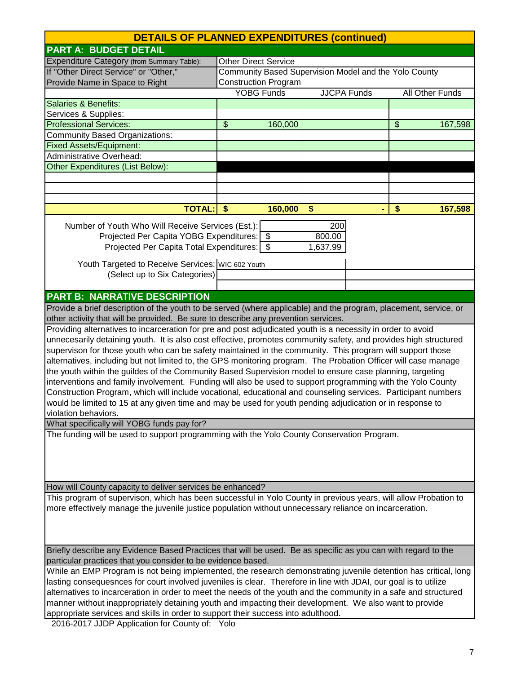| <b>DETAILS OF PLANNED EXPENDITURES (continued)</b>                                                                                                                                           |                                                       |                   |                   |                    |                |                 |
|----------------------------------------------------------------------------------------------------------------------------------------------------------------------------------------------|-------------------------------------------------------|-------------------|-------------------|--------------------|----------------|-----------------|
| <b>PART A: BUDGET DETAIL</b>                                                                                                                                                                 |                                                       |                   |                   |                    |                |                 |
| Expenditure Category (from Summary Table):                                                                                                                                                   | <b>Other Direct Service</b>                           |                   |                   |                    |                |                 |
| If "Other Direct Service" or "Other,"                                                                                                                                                        | Community Based Supervision Model and the Yolo County |                   |                   |                    |                |                 |
| Provide Name in Space to Right                                                                                                                                                               | <b>Construction Program</b>                           |                   |                   |                    |                |                 |
|                                                                                                                                                                                              |                                                       | <b>YOBG Funds</b> |                   | <b>JJCPA Funds</b> |                | All Other Funds |
| Salaries & Benefits:                                                                                                                                                                         |                                                       |                   |                   |                    |                |                 |
| Services & Supplies:                                                                                                                                                                         |                                                       |                   |                   |                    |                |                 |
| <b>Professional Services:</b>                                                                                                                                                                | \$                                                    | 160,000           |                   |                    | $\mathfrak{S}$ | 167,598         |
| Community Based Organizations:                                                                                                                                                               |                                                       |                   |                   |                    |                |                 |
| <b>Fixed Assets/Equipment:</b>                                                                                                                                                               |                                                       |                   |                   |                    |                |                 |
| <b>Administrative Overhead:</b>                                                                                                                                                              |                                                       |                   |                   |                    |                |                 |
| Other Expenditures (List Below):                                                                                                                                                             |                                                       |                   |                   |                    |                |                 |
|                                                                                                                                                                                              |                                                       |                   |                   |                    |                |                 |
|                                                                                                                                                                                              |                                                       |                   |                   |                    |                |                 |
|                                                                                                                                                                                              |                                                       |                   |                   |                    |                |                 |
| <b>TOTAL:</b>                                                                                                                                                                                | \$                                                    | 160,000           | $\boldsymbol{\$}$ |                    | \$             | 167,598         |
|                                                                                                                                                                                              |                                                       |                   |                   |                    |                |                 |
| Number of Youth Who Will Receive Services (Est.):                                                                                                                                            |                                                       |                   | 200               |                    |                |                 |
| Projected Per Capita YOBG Expenditures: \$                                                                                                                                                   |                                                       |                   | 800.00            |                    |                |                 |
| Projected Per Capita Total Expenditures:   \$                                                                                                                                                |                                                       |                   | 1,637.99          |                    |                |                 |
|                                                                                                                                                                                              |                                                       |                   |                   |                    |                |                 |
| Youth Targeted to Receive Services: WIC 602 Youth                                                                                                                                            |                                                       |                   |                   |                    |                |                 |
| (Select up to Six Categories)                                                                                                                                                                |                                                       |                   |                   |                    |                |                 |
|                                                                                                                                                                                              |                                                       |                   |                   |                    |                |                 |
| <b>PART B: NARRATIVE DESCRIPTION</b>                                                                                                                                                         |                                                       |                   |                   |                    |                |                 |
| Provide a brief description of the youth to be served (where applicable) and the program, placement, service, or                                                                             |                                                       |                   |                   |                    |                |                 |
| other activity that will be provided. Be sure to describe any prevention services.                                                                                                           |                                                       |                   |                   |                    |                |                 |
| Providing alternatives to incarceration for pre and post adjudicated youth is a necessity in order to avoid                                                                                  |                                                       |                   |                   |                    |                |                 |
| unnecesarily detaining youth. It is also cost effective, promotes community safety, and provides high structured                                                                             |                                                       |                   |                   |                    |                |                 |
| supervison for those youth who can be safety maintained in the community. This program will support those                                                                                    |                                                       |                   |                   |                    |                |                 |
| alternatives, including but not limited to, the GPS monitoring program. The Probation Officer will case manage                                                                               |                                                       |                   |                   |                    |                |                 |
| the youth within the guildes of the Community Based Supervision model to ensure case planning, targeting                                                                                     |                                                       |                   |                   |                    |                |                 |
| interventions and family involvement. Funding will also be used to support programming with the Yolo County                                                                                  |                                                       |                   |                   |                    |                |                 |
| Construction Program, which will include vocational, educational and counseling services. Participant numbers                                                                                |                                                       |                   |                   |                    |                |                 |
| would be limited to 15 at any given time and may be used for youth pending adjudication or in response to                                                                                    |                                                       |                   |                   |                    |                |                 |
| violation behaviors.                                                                                                                                                                         |                                                       |                   |                   |                    |                |                 |
| What specifically will YOBG funds pay for?                                                                                                                                                   |                                                       |                   |                   |                    |                |                 |
| The funding will be used to support programming with the Yolo County Conservation Program.                                                                                                   |                                                       |                   |                   |                    |                |                 |
|                                                                                                                                                                                              |                                                       |                   |                   |                    |                |                 |
|                                                                                                                                                                                              |                                                       |                   |                   |                    |                |                 |
|                                                                                                                                                                                              |                                                       |                   |                   |                    |                |                 |
|                                                                                                                                                                                              |                                                       |                   |                   |                    |                |                 |
| How will County capacity to deliver services be enhanced?                                                                                                                                    |                                                       |                   |                   |                    |                |                 |
| This program of supervison, which has been successful in Yolo County in previous years, will allow Probation to                                                                              |                                                       |                   |                   |                    |                |                 |
| more effectively manage the juvenile justice population without unnecessary reliance on incarceration.                                                                                       |                                                       |                   |                   |                    |                |                 |
|                                                                                                                                                                                              |                                                       |                   |                   |                    |                |                 |
|                                                                                                                                                                                              |                                                       |                   |                   |                    |                |                 |
|                                                                                                                                                                                              |                                                       |                   |                   |                    |                |                 |
| Briefly describe any Evidence Based Practices that will be used. Be as specific as you can with regard to the                                                                                |                                                       |                   |                   |                    |                |                 |
| particular practices that you consider to be evidence based.                                                                                                                                 |                                                       |                   |                   |                    |                |                 |
| While an EMP Program is not being implemented, the research demonstrating juvenile detention has critical, long                                                                              |                                                       |                   |                   |                    |                |                 |
|                                                                                                                                                                                              |                                                       |                   |                   |                    |                |                 |
| lasting consequesnces for court involved juveniles is clear. Therefore in line with JDAI, our goal is to utilize                                                                             |                                                       |                   |                   |                    |                |                 |
| alternatives to incarceration in order to meet the needs of the youth and the community in a safe and structured                                                                             |                                                       |                   |                   |                    |                |                 |
| manner without inappropriately detaining youth and impacting their development. We also want to provide<br>appropriate services and skills in order to support their success into adulthood. |                                                       |                   |                   |                    |                |                 |
| 2016-2017 LIDR Application for County of: Yolo                                                                                                                                               |                                                       |                   |                   |                    |                |                 |

2016-2017 JJDP Application for County of: Yolo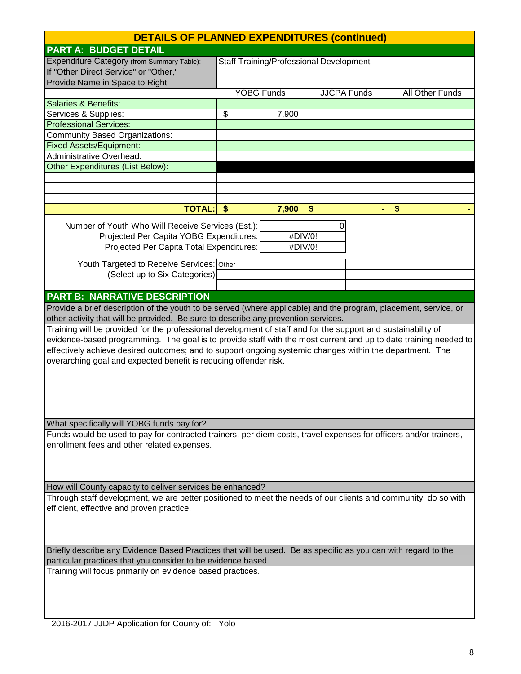| <b>DETAILS OF PLANNED EXPENDITURES (continued)</b>                                                                                                                            |                                                |       |                    |  |                   |
|-------------------------------------------------------------------------------------------------------------------------------------------------------------------------------|------------------------------------------------|-------|--------------------|--|-------------------|
| <b>PART A: BUDGET DETAIL</b>                                                                                                                                                  |                                                |       |                    |  |                   |
| Expenditure Category (from Summary Table):                                                                                                                                    | <b>Staff Training/Professional Development</b> |       |                    |  |                   |
| If "Other Direct Service" or "Other,"                                                                                                                                         |                                                |       |                    |  |                   |
| Provide Name in Space to Right                                                                                                                                                |                                                |       |                    |  |                   |
|                                                                                                                                                                               | YOBG Funds                                     |       | <b>JJCPA Funds</b> |  | All Other Funds   |
| <b>Salaries &amp; Benefits:</b>                                                                                                                                               |                                                |       |                    |  |                   |
| Services & Supplies:                                                                                                                                                          | \$                                             | 7,900 |                    |  |                   |
| <b>Professional Services:</b>                                                                                                                                                 |                                                |       |                    |  |                   |
| <b>Community Based Organizations:</b>                                                                                                                                         |                                                |       |                    |  |                   |
| <b>Fixed Assets/Equipment:</b>                                                                                                                                                |                                                |       |                    |  |                   |
| Administrative Overhead:                                                                                                                                                      |                                                |       |                    |  |                   |
| <b>Other Expenditures (List Below):</b>                                                                                                                                       |                                                |       |                    |  |                   |
|                                                                                                                                                                               |                                                |       |                    |  |                   |
|                                                                                                                                                                               |                                                |       |                    |  |                   |
|                                                                                                                                                                               |                                                |       |                    |  |                   |
| TOTAL: \$                                                                                                                                                                     |                                                | 7,900 | \$                 |  | $\boldsymbol{\$}$ |
| Number of Youth Who Will Receive Services (Est.):                                                                                                                             |                                                |       | 0                  |  |                   |
| Projected Per Capita YOBG Expenditures:                                                                                                                                       |                                                |       | #DIV/0!            |  |                   |
| Projected Per Capita Total Expenditures:                                                                                                                                      |                                                |       | #DIV/0!            |  |                   |
|                                                                                                                                                                               |                                                |       |                    |  |                   |
| Youth Targeted to Receive Services: Other                                                                                                                                     |                                                |       |                    |  |                   |
| (Select up to Six Categories)                                                                                                                                                 |                                                |       |                    |  |                   |
|                                                                                                                                                                               |                                                |       |                    |  |                   |
| <b>PART B: NARRATIVE DESCRIPTION</b>                                                                                                                                          |                                                |       |                    |  |                   |
| Provide a brief description of the youth to be served (where applicable) and the program, placement, service, or                                                              |                                                |       |                    |  |                   |
| other activity that will be provided. Be sure to describe any prevention services.                                                                                            |                                                |       |                    |  |                   |
| Training will be provided for the professional development of staff and for the support and sustainability of                                                                 |                                                |       |                    |  |                   |
| evidence-based programming. The goal is to provide staff with the most current and up to date training needed to                                                              |                                                |       |                    |  |                   |
| effectively achieve desired outcomes; and to support ongoing systemic changes within the department. The                                                                      |                                                |       |                    |  |                   |
| overarching goal and expected benefit is reducing offender risk.                                                                                                              |                                                |       |                    |  |                   |
|                                                                                                                                                                               |                                                |       |                    |  |                   |
|                                                                                                                                                                               |                                                |       |                    |  |                   |
|                                                                                                                                                                               |                                                |       |                    |  |                   |
|                                                                                                                                                                               |                                                |       |                    |  |                   |
|                                                                                                                                                                               |                                                |       |                    |  |                   |
| What specifically will YOBG funds pay for?                                                                                                                                    |                                                |       |                    |  |                   |
| Funds would be used to pay for contracted trainers, per diem costs, travel expenses for officers and/or trainers,                                                             |                                                |       |                    |  |                   |
| enrollment fees and other related expenses.                                                                                                                                   |                                                |       |                    |  |                   |
|                                                                                                                                                                               |                                                |       |                    |  |                   |
|                                                                                                                                                                               |                                                |       |                    |  |                   |
| How will County capacity to deliver services be enhanced?                                                                                                                     |                                                |       |                    |  |                   |
| Through staff development, we are better positioned to meet the needs of our clients and community, do so with                                                                |                                                |       |                    |  |                   |
| efficient, effective and proven practice.                                                                                                                                     |                                                |       |                    |  |                   |
|                                                                                                                                                                               |                                                |       |                    |  |                   |
|                                                                                                                                                                               |                                                |       |                    |  |                   |
|                                                                                                                                                                               |                                                |       |                    |  |                   |
|                                                                                                                                                                               |                                                |       |                    |  |                   |
| Briefly describe any Evidence Based Practices that will be used. Be as specific as you can with regard to the<br>particular practices that you consider to be evidence based. |                                                |       |                    |  |                   |
| Training will focus primarily on evidence based practices.                                                                                                                    |                                                |       |                    |  |                   |
|                                                                                                                                                                               |                                                |       |                    |  |                   |
|                                                                                                                                                                               |                                                |       |                    |  |                   |
|                                                                                                                                                                               |                                                |       |                    |  |                   |

 $\mathsf{L}$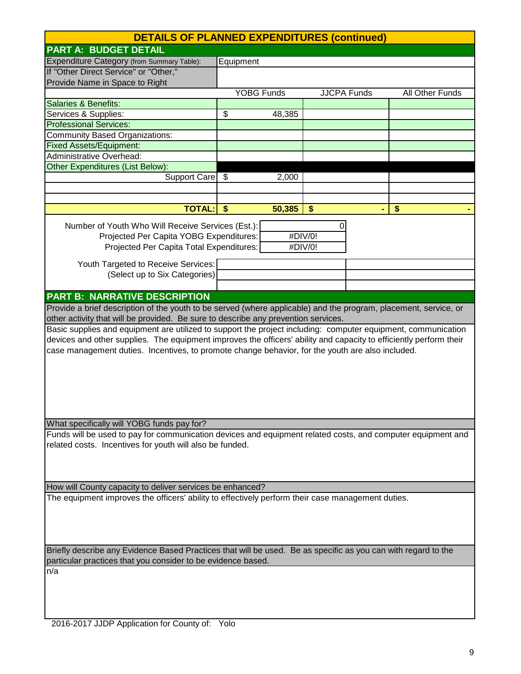| <b>DETAILS OF PLANNED EXPENDITURES (continued)</b>                                                                 |                    |         |         |                    |                 |
|--------------------------------------------------------------------------------------------------------------------|--------------------|---------|---------|--------------------|-----------------|
| <b>PART A: BUDGET DETAIL</b>                                                                                       |                    |         |         |                    |                 |
| Expenditure Category (from Summary Table):                                                                         | Equipment          |         |         |                    |                 |
| If "Other Direct Service" or "Other,"                                                                              |                    |         |         |                    |                 |
| Provide Name in Space to Right                                                                                     |                    |         |         |                    |                 |
|                                                                                                                    | <b>YOBG Funds</b>  |         |         | <b>JJCPA Funds</b> | All Other Funds |
| <b>Salaries &amp; Benefits:</b>                                                                                    |                    |         |         |                    |                 |
| Services & Supplies:                                                                                               | \$                 | 48,385  |         |                    |                 |
| <b>Professional Services:</b>                                                                                      |                    |         |         |                    |                 |
| <b>Community Based Organizations:</b>                                                                              |                    |         |         |                    |                 |
| <b>Fixed Assets/Equipment:</b>                                                                                     |                    |         |         |                    |                 |
| <b>Administrative Overhead:</b>                                                                                    |                    |         |         |                    |                 |
| Other Expenditures (List Below):                                                                                   |                    |         |         |                    |                 |
| Support Care                                                                                                       | \$                 | 2,000   |         |                    |                 |
|                                                                                                                    |                    |         |         |                    |                 |
|                                                                                                                    |                    |         |         |                    |                 |
| <b>TOTAL:</b>                                                                                                      | $\mathbf{\hat{S}}$ | 50,385  | \$      |                    | \$              |
| Number of Youth Who Will Receive Services (Est.):                                                                  |                    |         | 0       |                    |                 |
| Projected Per Capita YOBG Expenditures:                                                                            |                    |         | #DIV/0! |                    |                 |
| Projected Per Capita Total Expenditures:                                                                           |                    | #DIV/0! |         |                    |                 |
|                                                                                                                    |                    |         |         |                    |                 |
| Youth Targeted to Receive Services:                                                                                |                    |         |         |                    |                 |
| (Select up to Six Categories)                                                                                      |                    |         |         |                    |                 |
|                                                                                                                    |                    |         |         |                    |                 |
| <b>PART B: NARRATIVE DESCRIPTION</b>                                                                               |                    |         |         |                    |                 |
| Provide a brief description of the youth to be served (where applicable) and the program, placement, service, or   |                    |         |         |                    |                 |
| other activity that will be provided. Be sure to describe any prevention services.                                 |                    |         |         |                    |                 |
| Basic supplies and equipment are utilized to support the project including: computer equipment, communication      |                    |         |         |                    |                 |
| devices and other supplies. The equipment improves the officers' ability and capacity to efficiently perform their |                    |         |         |                    |                 |
| case management duties. Incentives, to promote change behavior, for the youth are also included.                   |                    |         |         |                    |                 |
|                                                                                                                    |                    |         |         |                    |                 |
|                                                                                                                    |                    |         |         |                    |                 |
|                                                                                                                    |                    |         |         |                    |                 |
|                                                                                                                    |                    |         |         |                    |                 |
|                                                                                                                    |                    |         |         |                    |                 |
|                                                                                                                    |                    |         |         |                    |                 |
| What specifically will YOBG funds pay for?                                                                         |                    |         |         |                    |                 |
| Funds will be used to pay for communication devices and equipment related costs, and computer equipment and        |                    |         |         |                    |                 |
| related costs. Incentives for youth will also be funded.                                                           |                    |         |         |                    |                 |
|                                                                                                                    |                    |         |         |                    |                 |
|                                                                                                                    |                    |         |         |                    |                 |
|                                                                                                                    |                    |         |         |                    |                 |
| How will County capacity to deliver services be enhanced?                                                          |                    |         |         |                    |                 |
| The equipment improves the officers' ability to effectively perform their case management duties.                  |                    |         |         |                    |                 |
|                                                                                                                    |                    |         |         |                    |                 |
|                                                                                                                    |                    |         |         |                    |                 |
|                                                                                                                    |                    |         |         |                    |                 |
|                                                                                                                    |                    |         |         |                    |                 |
| Briefly describe any Evidence Based Practices that will be used. Be as specific as you can with regard to the      |                    |         |         |                    |                 |
| particular practices that you consider to be evidence based.                                                       |                    |         |         |                    |                 |
| n/a                                                                                                                |                    |         |         |                    |                 |
|                                                                                                                    |                    |         |         |                    |                 |
|                                                                                                                    |                    |         |         |                    |                 |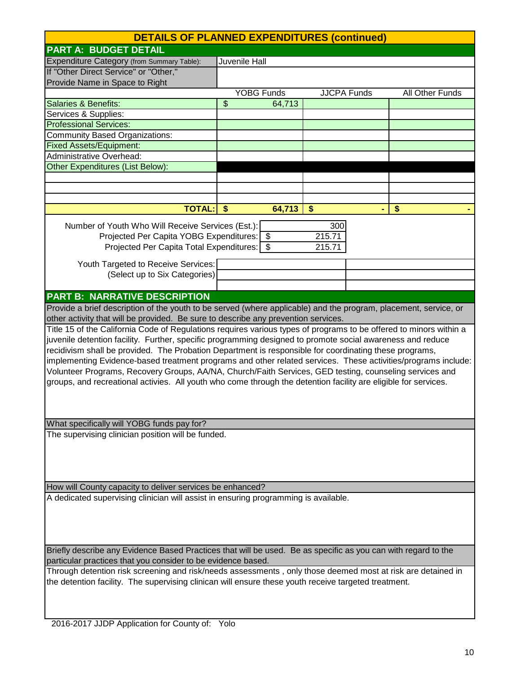|                                                                                                                                                                                                                                                                                                                                                                                                                                                                                                                                                                                                                                                                                           | <b>DETAILS OF PLANNED EXPENDITURES (continued)</b> |                         |                 |  |  |  |
|-------------------------------------------------------------------------------------------------------------------------------------------------------------------------------------------------------------------------------------------------------------------------------------------------------------------------------------------------------------------------------------------------------------------------------------------------------------------------------------------------------------------------------------------------------------------------------------------------------------------------------------------------------------------------------------------|----------------------------------------------------|-------------------------|-----------------|--|--|--|
| <b>PART A: BUDGET DETAIL</b>                                                                                                                                                                                                                                                                                                                                                                                                                                                                                                                                                                                                                                                              |                                                    |                         |                 |  |  |  |
| Expenditure Category (from Summary Table):                                                                                                                                                                                                                                                                                                                                                                                                                                                                                                                                                                                                                                                | Juvenile Hall                                      |                         |                 |  |  |  |
| If "Other Direct Service" or "Other,"                                                                                                                                                                                                                                                                                                                                                                                                                                                                                                                                                                                                                                                     |                                                    |                         |                 |  |  |  |
| Provide Name in Space to Right                                                                                                                                                                                                                                                                                                                                                                                                                                                                                                                                                                                                                                                            |                                                    |                         |                 |  |  |  |
|                                                                                                                                                                                                                                                                                                                                                                                                                                                                                                                                                                                                                                                                                           | <b>YOBG Funds</b>                                  | <b>JJCPA</b> Funds      | All Other Funds |  |  |  |
| <b>Salaries &amp; Benefits:</b>                                                                                                                                                                                                                                                                                                                                                                                                                                                                                                                                                                                                                                                           | \$<br>64,713                                       |                         |                 |  |  |  |
| Services & Supplies:                                                                                                                                                                                                                                                                                                                                                                                                                                                                                                                                                                                                                                                                      |                                                    |                         |                 |  |  |  |
| <b>Professional Services:</b>                                                                                                                                                                                                                                                                                                                                                                                                                                                                                                                                                                                                                                                             |                                                    |                         |                 |  |  |  |
| <b>Community Based Organizations:</b>                                                                                                                                                                                                                                                                                                                                                                                                                                                                                                                                                                                                                                                     |                                                    |                         |                 |  |  |  |
| <b>Fixed Assets/Equipment:</b>                                                                                                                                                                                                                                                                                                                                                                                                                                                                                                                                                                                                                                                            |                                                    |                         |                 |  |  |  |
| <b>Administrative Overhead:</b>                                                                                                                                                                                                                                                                                                                                                                                                                                                                                                                                                                                                                                                           |                                                    |                         |                 |  |  |  |
| <b>Other Expenditures (List Below):</b>                                                                                                                                                                                                                                                                                                                                                                                                                                                                                                                                                                                                                                                   |                                                    |                         |                 |  |  |  |
|                                                                                                                                                                                                                                                                                                                                                                                                                                                                                                                                                                                                                                                                                           |                                                    |                         |                 |  |  |  |
|                                                                                                                                                                                                                                                                                                                                                                                                                                                                                                                                                                                                                                                                                           |                                                    |                         |                 |  |  |  |
|                                                                                                                                                                                                                                                                                                                                                                                                                                                                                                                                                                                                                                                                                           |                                                    |                         |                 |  |  |  |
| <b>TOTAL:</b>                                                                                                                                                                                                                                                                                                                                                                                                                                                                                                                                                                                                                                                                             | 64,713<br>$\sqrt{3}$                               | $\boldsymbol{\$}$       | \$              |  |  |  |
| Number of Youth Who Will Receive Services (Est.):<br>Projected Per Capita YOBG Expenditures: \$<br>Projected Per Capita Total Expenditures: \$<br>Youth Targeted to Receive Services:                                                                                                                                                                                                                                                                                                                                                                                                                                                                                                     |                                                    | 300<br>215.71<br>215.71 |                 |  |  |  |
| (Select up to Six Categories)                                                                                                                                                                                                                                                                                                                                                                                                                                                                                                                                                                                                                                                             |                                                    |                         |                 |  |  |  |
|                                                                                                                                                                                                                                                                                                                                                                                                                                                                                                                                                                                                                                                                                           |                                                    |                         |                 |  |  |  |
| <b>PART B: NARRATIVE DESCRIPTION</b>                                                                                                                                                                                                                                                                                                                                                                                                                                                                                                                                                                                                                                                      |                                                    |                         |                 |  |  |  |
| Provide a brief description of the youth to be served (where applicable) and the program, placement, service, or                                                                                                                                                                                                                                                                                                                                                                                                                                                                                                                                                                          |                                                    |                         |                 |  |  |  |
| other activity that will be provided. Be sure to describe any prevention services.                                                                                                                                                                                                                                                                                                                                                                                                                                                                                                                                                                                                        |                                                    |                         |                 |  |  |  |
| Title 15 of the California Code of Regulations requires various types of programs to be offered to minors within a<br>juvenile detention facility. Further, specific programming designed to promote social awareness and reduce<br>recidivism shall be provided. The Probation Department is responsible for coordinating these programs,<br>implementing Evidence-based treatment programs and other related services. These activities/programs include:<br>Volunteer Programs, Recovery Groups, AA/NA, Church/Faith Services, GED testing, counseling services and<br>groups, and recreational activies. All youth who come through the detention facility are eligible for services. |                                                    |                         |                 |  |  |  |
| What specifically will YOBG funds pay for?                                                                                                                                                                                                                                                                                                                                                                                                                                                                                                                                                                                                                                                |                                                    |                         |                 |  |  |  |
| The supervising clinician position will be funded.                                                                                                                                                                                                                                                                                                                                                                                                                                                                                                                                                                                                                                        |                                                    |                         |                 |  |  |  |
| How will County capacity to deliver services be enhanced?                                                                                                                                                                                                                                                                                                                                                                                                                                                                                                                                                                                                                                 |                                                    |                         |                 |  |  |  |
| A dedicated supervising clinician will assist in ensuring programming is available.                                                                                                                                                                                                                                                                                                                                                                                                                                                                                                                                                                                                       |                                                    |                         |                 |  |  |  |
|                                                                                                                                                                                                                                                                                                                                                                                                                                                                                                                                                                                                                                                                                           |                                                    |                         |                 |  |  |  |
| Briefly describe any Evidence Based Practices that will be used. Be as specific as you can with regard to the                                                                                                                                                                                                                                                                                                                                                                                                                                                                                                                                                                             |                                                    |                         |                 |  |  |  |
| particular practices that you consider to be evidence based.<br>Through detention risk screening and risk/needs assessments, only those deemed most at risk are detained in                                                                                                                                                                                                                                                                                                                                                                                                                                                                                                               |                                                    |                         |                 |  |  |  |
| the detention facility. The supervising clinican will ensure these youth receive targeted treatment.                                                                                                                                                                                                                                                                                                                                                                                                                                                                                                                                                                                      |                                                    |                         |                 |  |  |  |

 $\overline{\phantom{a}}$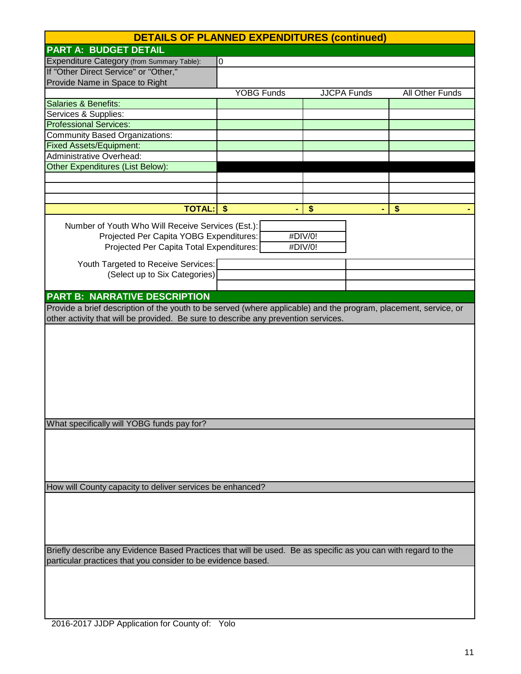|                                                                                                                  | <b>DETAILS OF PLANNED EXPENDITURES (continued)</b> |                    |                 |
|------------------------------------------------------------------------------------------------------------------|----------------------------------------------------|--------------------|-----------------|
| <b>PART A: BUDGET DETAIL</b>                                                                                     |                                                    |                    |                 |
| Expenditure Category (from Summary Table):                                                                       | 0                                                  |                    |                 |
| If "Other Direct Service" or "Other,"                                                                            |                                                    |                    |                 |
| Provide Name in Space to Right                                                                                   |                                                    |                    |                 |
|                                                                                                                  | <b>YOBG Funds</b>                                  | <b>JJCPA Funds</b> | All Other Funds |
| Salaries & Benefits:                                                                                             |                                                    |                    |                 |
| Services & Supplies:                                                                                             |                                                    |                    |                 |
| <b>Professional Services:</b>                                                                                    |                                                    |                    |                 |
| <b>Community Based Organizations:</b>                                                                            |                                                    |                    |                 |
| <b>Fixed Assets/Equipment:</b>                                                                                   |                                                    |                    |                 |
| <b>Administrative Overhead:</b>                                                                                  |                                                    |                    |                 |
| Other Expenditures (List Below):                                                                                 |                                                    |                    |                 |
|                                                                                                                  |                                                    |                    |                 |
|                                                                                                                  |                                                    |                    |                 |
|                                                                                                                  |                                                    |                    |                 |
| <b>TOTAL:</b>                                                                                                    | -\$                                                | \$                 | \$              |
| Number of Youth Who Will Receive Services (Est.):                                                                |                                                    |                    |                 |
| Projected Per Capita YOBG Expenditures:                                                                          |                                                    | #DIV/0!            |                 |
| Projected Per Capita Total Expenditures:                                                                         |                                                    | #DIV/0!            |                 |
|                                                                                                                  |                                                    |                    |                 |
| Youth Targeted to Receive Services:                                                                              |                                                    |                    |                 |
| (Select up to Six Categories)                                                                                    |                                                    |                    |                 |
|                                                                                                                  |                                                    |                    |                 |
| <b>PART B: NARRATIVE DESCRIPTION</b>                                                                             |                                                    |                    |                 |
| Provide a brief description of the youth to be served (where applicable) and the program, placement, service, or |                                                    |                    |                 |
| other activity that will be provided. Be sure to describe any prevention services.                               |                                                    |                    |                 |
|                                                                                                                  |                                                    |                    |                 |
|                                                                                                                  |                                                    |                    |                 |
|                                                                                                                  |                                                    |                    |                 |
|                                                                                                                  |                                                    |                    |                 |
|                                                                                                                  |                                                    |                    |                 |
|                                                                                                                  |                                                    |                    |                 |
|                                                                                                                  |                                                    |                    |                 |
|                                                                                                                  |                                                    |                    |                 |
|                                                                                                                  |                                                    |                    |                 |
| What specifically will YOBG funds pay for?                                                                       |                                                    |                    |                 |
|                                                                                                                  |                                                    |                    |                 |
|                                                                                                                  |                                                    |                    |                 |
|                                                                                                                  |                                                    |                    |                 |
|                                                                                                                  |                                                    |                    |                 |
|                                                                                                                  |                                                    |                    |                 |
| How will County capacity to deliver services be enhanced?                                                        |                                                    |                    |                 |
|                                                                                                                  |                                                    |                    |                 |
|                                                                                                                  |                                                    |                    |                 |
|                                                                                                                  |                                                    |                    |                 |
|                                                                                                                  |                                                    |                    |                 |
| Briefly describe any Evidence Based Practices that will be used. Be as specific as you can with regard to the    |                                                    |                    |                 |
| particular practices that you consider to be evidence based.                                                     |                                                    |                    |                 |
|                                                                                                                  |                                                    |                    |                 |
|                                                                                                                  |                                                    |                    |                 |
|                                                                                                                  |                                                    |                    |                 |
|                                                                                                                  |                                                    |                    |                 |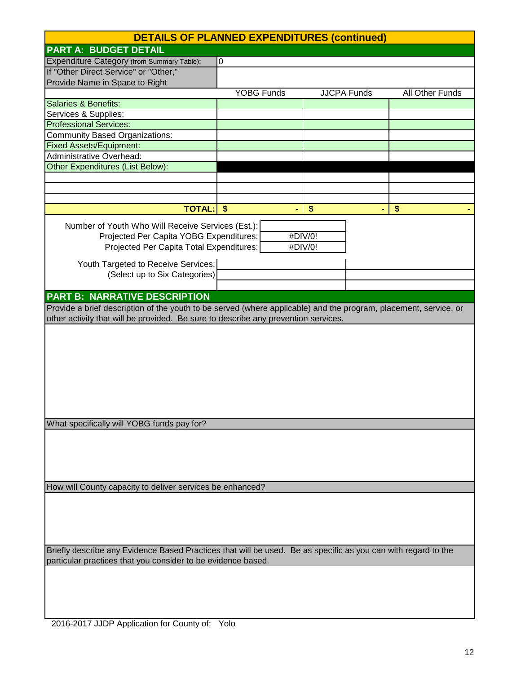|                                                                                                                  | <b>DETAILS OF PLANNED EXPENDITURES (continued)</b> |                    |                 |
|------------------------------------------------------------------------------------------------------------------|----------------------------------------------------|--------------------|-----------------|
| <b>PART A: BUDGET DETAIL</b>                                                                                     |                                                    |                    |                 |
| Expenditure Category (from Summary Table):                                                                       | 0                                                  |                    |                 |
| If "Other Direct Service" or "Other,"                                                                            |                                                    |                    |                 |
| Provide Name in Space to Right                                                                                   |                                                    |                    |                 |
|                                                                                                                  | <b>YOBG Funds</b>                                  | <b>JJCPA Funds</b> | All Other Funds |
| Salaries & Benefits:                                                                                             |                                                    |                    |                 |
| Services & Supplies:                                                                                             |                                                    |                    |                 |
| <b>Professional Services:</b>                                                                                    |                                                    |                    |                 |
| <b>Community Based Organizations:</b>                                                                            |                                                    |                    |                 |
| <b>Fixed Assets/Equipment:</b>                                                                                   |                                                    |                    |                 |
| <b>Administrative Overhead:</b>                                                                                  |                                                    |                    |                 |
| Other Expenditures (List Below):                                                                                 |                                                    |                    |                 |
|                                                                                                                  |                                                    |                    |                 |
|                                                                                                                  |                                                    |                    |                 |
|                                                                                                                  |                                                    |                    |                 |
| <b>TOTAL:</b>                                                                                                    | -\$                                                | \$                 | \$              |
| Number of Youth Who Will Receive Services (Est.):                                                                |                                                    |                    |                 |
| Projected Per Capita YOBG Expenditures:                                                                          |                                                    | #DIV/0!            |                 |
| Projected Per Capita Total Expenditures:                                                                         |                                                    | #DIV/0!            |                 |
|                                                                                                                  |                                                    |                    |                 |
| Youth Targeted to Receive Services:                                                                              |                                                    |                    |                 |
| (Select up to Six Categories)                                                                                    |                                                    |                    |                 |
|                                                                                                                  |                                                    |                    |                 |
| <b>PART B: NARRATIVE DESCRIPTION</b>                                                                             |                                                    |                    |                 |
| Provide a brief description of the youth to be served (where applicable) and the program, placement, service, or |                                                    |                    |                 |
| other activity that will be provided. Be sure to describe any prevention services.                               |                                                    |                    |                 |
|                                                                                                                  |                                                    |                    |                 |
|                                                                                                                  |                                                    |                    |                 |
|                                                                                                                  |                                                    |                    |                 |
|                                                                                                                  |                                                    |                    |                 |
|                                                                                                                  |                                                    |                    |                 |
|                                                                                                                  |                                                    |                    |                 |
|                                                                                                                  |                                                    |                    |                 |
|                                                                                                                  |                                                    |                    |                 |
|                                                                                                                  |                                                    |                    |                 |
| What specifically will YOBG funds pay for?                                                                       |                                                    |                    |                 |
|                                                                                                                  |                                                    |                    |                 |
|                                                                                                                  |                                                    |                    |                 |
|                                                                                                                  |                                                    |                    |                 |
|                                                                                                                  |                                                    |                    |                 |
|                                                                                                                  |                                                    |                    |                 |
| How will County capacity to deliver services be enhanced?                                                        |                                                    |                    |                 |
|                                                                                                                  |                                                    |                    |                 |
|                                                                                                                  |                                                    |                    |                 |
|                                                                                                                  |                                                    |                    |                 |
|                                                                                                                  |                                                    |                    |                 |
| Briefly describe any Evidence Based Practices that will be used. Be as specific as you can with regard to the    |                                                    |                    |                 |
| particular practices that you consider to be evidence based.                                                     |                                                    |                    |                 |
|                                                                                                                  |                                                    |                    |                 |
|                                                                                                                  |                                                    |                    |                 |
|                                                                                                                  |                                                    |                    |                 |
|                                                                                                                  |                                                    |                    |                 |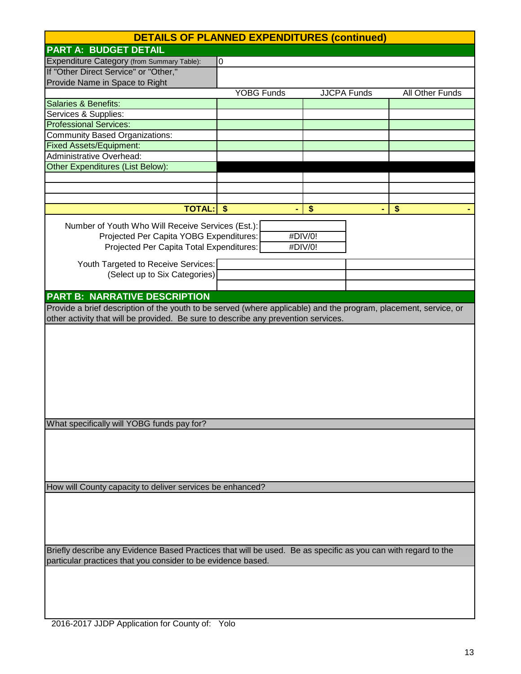|                                                                                                                  | <b>DETAILS OF PLANNED EXPENDITURES (continued)</b> |                    |                 |
|------------------------------------------------------------------------------------------------------------------|----------------------------------------------------|--------------------|-----------------|
| <b>PART A: BUDGET DETAIL</b>                                                                                     |                                                    |                    |                 |
| Expenditure Category (from Summary Table):                                                                       | 0                                                  |                    |                 |
| If "Other Direct Service" or "Other,"                                                                            |                                                    |                    |                 |
| Provide Name in Space to Right                                                                                   |                                                    |                    |                 |
|                                                                                                                  | <b>YOBG Funds</b>                                  | <b>JJCPA Funds</b> | All Other Funds |
| Salaries & Benefits:                                                                                             |                                                    |                    |                 |
| Services & Supplies:                                                                                             |                                                    |                    |                 |
| <b>Professional Services:</b>                                                                                    |                                                    |                    |                 |
| <b>Community Based Organizations:</b>                                                                            |                                                    |                    |                 |
| <b>Fixed Assets/Equipment:</b>                                                                                   |                                                    |                    |                 |
| <b>Administrative Overhead:</b>                                                                                  |                                                    |                    |                 |
| Other Expenditures (List Below):                                                                                 |                                                    |                    |                 |
|                                                                                                                  |                                                    |                    |                 |
|                                                                                                                  |                                                    |                    |                 |
|                                                                                                                  |                                                    |                    |                 |
| <b>TOTAL:</b>                                                                                                    | -\$                                                | $\frac{1}{2}$      | \$              |
| Number of Youth Who Will Receive Services (Est.):                                                                |                                                    |                    |                 |
| Projected Per Capita YOBG Expenditures:                                                                          |                                                    | #DIV/0!            |                 |
| Projected Per Capita Total Expenditures:                                                                         |                                                    | #DIV/0!            |                 |
|                                                                                                                  |                                                    |                    |                 |
| Youth Targeted to Receive Services:                                                                              |                                                    |                    |                 |
| (Select up to Six Categories)                                                                                    |                                                    |                    |                 |
|                                                                                                                  |                                                    |                    |                 |
| <b>PART B: NARRATIVE DESCRIPTION</b>                                                                             |                                                    |                    |                 |
| Provide a brief description of the youth to be served (where applicable) and the program, placement, service, or |                                                    |                    |                 |
| other activity that will be provided. Be sure to describe any prevention services.                               |                                                    |                    |                 |
|                                                                                                                  |                                                    |                    |                 |
|                                                                                                                  |                                                    |                    |                 |
|                                                                                                                  |                                                    |                    |                 |
|                                                                                                                  |                                                    |                    |                 |
|                                                                                                                  |                                                    |                    |                 |
|                                                                                                                  |                                                    |                    |                 |
|                                                                                                                  |                                                    |                    |                 |
|                                                                                                                  |                                                    |                    |                 |
|                                                                                                                  |                                                    |                    |                 |
| What specifically will YOBG funds pay for?                                                                       |                                                    |                    |                 |
|                                                                                                                  |                                                    |                    |                 |
|                                                                                                                  |                                                    |                    |                 |
|                                                                                                                  |                                                    |                    |                 |
|                                                                                                                  |                                                    |                    |                 |
|                                                                                                                  |                                                    |                    |                 |
| How will County capacity to deliver services be enhanced?                                                        |                                                    |                    |                 |
|                                                                                                                  |                                                    |                    |                 |
|                                                                                                                  |                                                    |                    |                 |
|                                                                                                                  |                                                    |                    |                 |
|                                                                                                                  |                                                    |                    |                 |
| Briefly describe any Evidence Based Practices that will be used. Be as specific as you can with regard to the    |                                                    |                    |                 |
| particular practices that you consider to be evidence based.                                                     |                                                    |                    |                 |
|                                                                                                                  |                                                    |                    |                 |
|                                                                                                                  |                                                    |                    |                 |
|                                                                                                                  |                                                    |                    |                 |
|                                                                                                                  |                                                    |                    |                 |